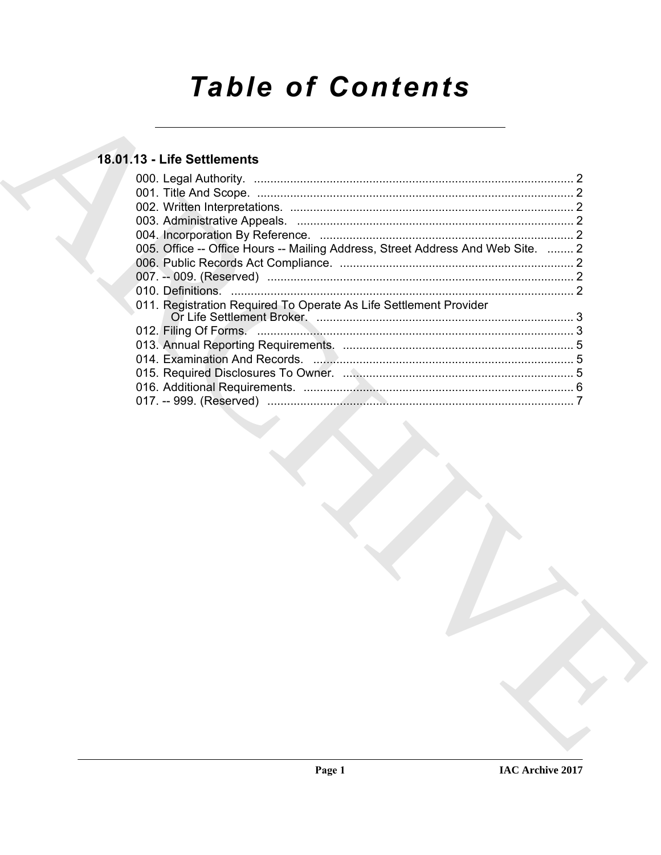# **Table of Contents**

# 18.01.13 - Life Settlements

| 005. Office -- Office Hours -- Mailing Address, Street Address And Web Site.  2 |  |
|---------------------------------------------------------------------------------|--|
|                                                                                 |  |
|                                                                                 |  |
|                                                                                 |  |
| 011. Registration Required To Operate As Life Settlement Provider               |  |
|                                                                                 |  |
|                                                                                 |  |
|                                                                                 |  |
|                                                                                 |  |
|                                                                                 |  |
|                                                                                 |  |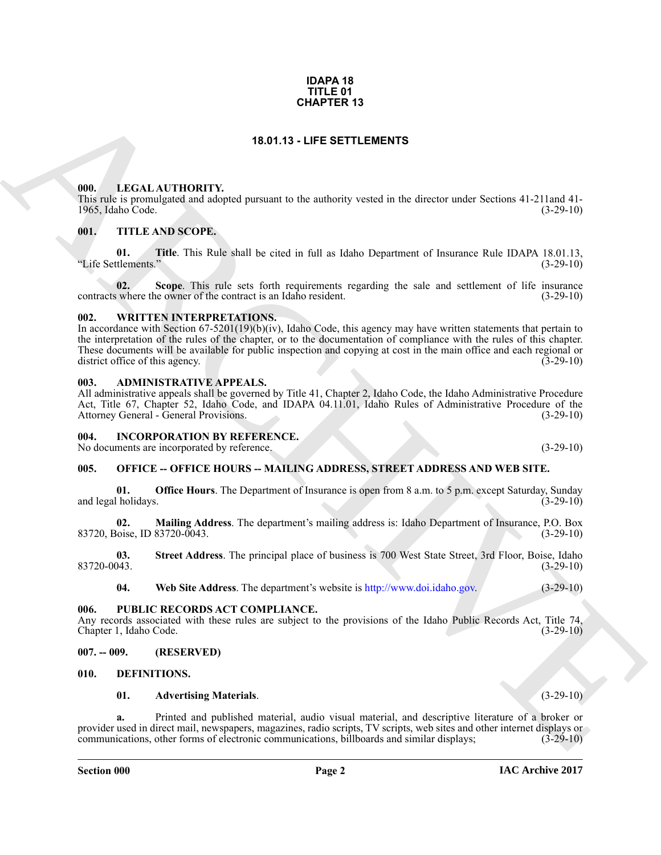#### **IDAPA 18 TITLE 01 CHAPTER 13**

# **18.01.13 - LIFE SETTLEMENTS**

#### <span id="page-1-1"></span><span id="page-1-0"></span>**000. LEGAL AUTHORITY.**

This rule is promulgated and adopted pursuant to the authority vested in the director under Sections 41-211and 41- 1965, Idaho Code. (3-29-10)

# <span id="page-1-2"></span>**001. TITLE AND SCOPE.**

**01. Title**. This Rule shall be cited in full as Idaho Department of Insurance Rule IDAPA 18.01.13, "Life Settlements."

**02.** Scope. This rule sets forth requirements regarding the sale and settlement of life insurance where the owner of the contract is an Idaho resident. (3-29-10) contracts where the owner of the contract is an Idaho resident.

#### <span id="page-1-3"></span>**002. WRITTEN INTERPRETATIONS.**

**CHAPTER 13**<br>
18.01.13 - LIFE SETTLEMENTS<br>
18.01.13 - LIFE SETTLEMENTS<br>
19.01.16 - LIFE AND COPY<br>
19.02. THE AND SCOPE,<br>
61. THE AND SCOPE,<br>
19.16 - LIFE AND SCOPE,<br>
19.16 - LIFE AND SCOPE,<br>
19.16 - LIFE AND SCOPE,<br>
19.16 In accordance with Section 67-5201(19)(b)(iv), Idaho Code, this agency may have written statements that pertain to the interpretation of the rules of the chapter, or to the documentation of compliance with the rules of this chapter. These documents will be available for public inspection and copying at cost in the main office and each regional or district office of this agency. (3-29-10) district office of this agency.

#### <span id="page-1-4"></span>**003. ADMINISTRATIVE APPEALS.**

All administrative appeals shall be governed by Title 41, Chapter 2, Idaho Code, the Idaho Administrative Procedure Act, Title 67, Chapter 52, Idaho Code, and IDAPA 04.11.01, Idaho Rules of Administrative Procedure of the Attorney General - General Provisions. (3-29-10) Attorney General - General Provisions.

#### <span id="page-1-5"></span>**004. INCORPORATION BY REFERENCE.**

No documents are incorporated by reference. (3-29-10)

# <span id="page-1-6"></span>**005. OFFICE -- OFFICE HOURS -- MAILING ADDRESS, STREET ADDRESS AND WEB SITE.**

**01. Office Hours**. The Department of Insurance is open from 8 a.m. to 5 p.m. except Saturday, Sunday (1-29-10) and legal holidays.

**02. Mailing Address**. The department's mailing address is: Idaho Department of Insurance, P.O. Box 83720, Boise, ID 83720-0043.

**03.** Street Address. The principal place of business is 700 West State Street, 3rd Floor, Boise, Idaho (3-29-10) 83720-0043. (3-29-10)

**04. Web Site Address**. The department's website is http://www.doi.idaho.gov. (3-29-10)

#### <span id="page-1-7"></span>**006. PUBLIC RECORDS ACT COMPLIANCE.**

Any records associated with these rules are subject to the provisions of the Idaho Public Records Act, Title 74, Chapter 1, Idaho Code. (3-29-10) Chapter 1, Idaho Code.

#### <span id="page-1-8"></span>**007. -- 009. (RESERVED)**

#### <span id="page-1-9"></span>**010. DEFINITIONS.**

#### <span id="page-1-11"></span><span id="page-1-10"></span>**01. Advertising Materials**. (3-29-10)

**a.** Printed and published material, audio visual material, and descriptive literature of a broker or provider used in direct mail, newspapers, magazines, radio scripts, TV scripts, web sites and other internet displays or communications. other forms of electronic communications, billboards and similar displays: (3-29-10) communications, other forms of electronic communications, billboards and similar displays;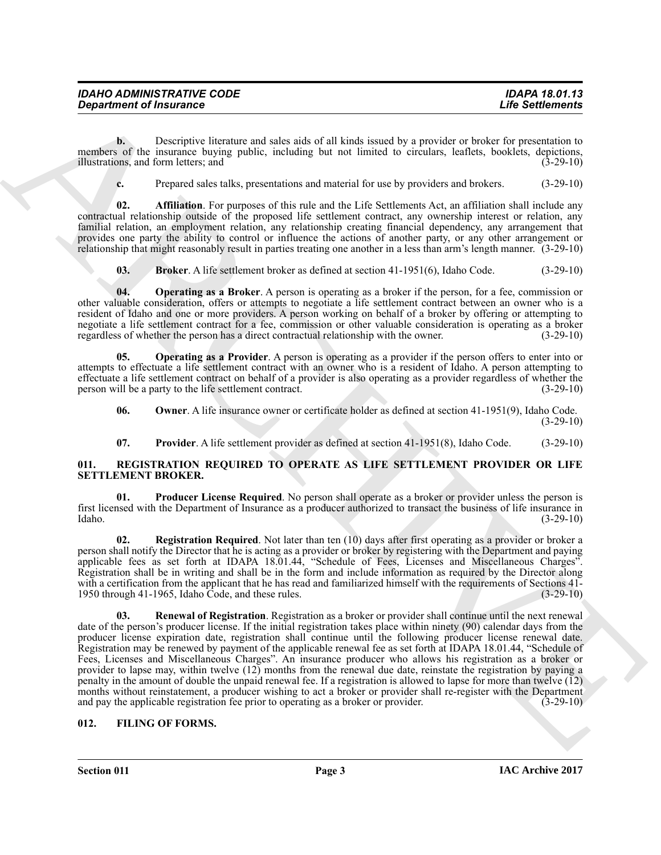| <b>IDAHO ADMINISTRATIVE CODE</b> | <b>IDAPA 18.01.13</b>   |
|----------------------------------|-------------------------|
| <b>Department of Insurance</b>   | <b>Life Settlements</b> |

**b.** Descriptive literature and sales aids of all kinds issued by a provider or broker for presentation to members of the insurance buying public, including but not limited to circulars, leaflets, booklets, depictions, illustrations, and form letters: and (3-29-10) illustrations, and form letters; and

<span id="page-2-2"></span>**c.** Prepared sales talks, presentations and material for use by providers and brokers. (3-29-10)

**02. Affiliation**. For purposes of this rule and the Life Settlements Act, an affiliation shall include any contractual relationship outside of the proposed life settlement contract, any ownership interest or relation, any familial relation, an employment relation, any relationship creating financial dependency, any arrangement that provides one party the ability to control or influence the actions of another party, or any other arrangement or relationship that might reasonably result in parties treating one another in a less than arm's length manner. (3-29-10)

<span id="page-2-4"></span><span id="page-2-3"></span>**03. Broker**. A life settlement broker as defined at section 41-1951(6), Idaho Code. (3-29-10)

**04. Operating as a Broker**. A person is operating as a broker if the person, for a fee, commission or other valuable consideration, offers or attempts to negotiate a life settlement contract between an owner who is a resident of Idaho and one or more providers. A person working on behalf of a broker by offering or attempting to negotiate a life settlement contract for a fee, commission or other valuable consideration is operating as a broker<br>regardless of whether the person has a direct contractual relationship with the owner. (3-29-10) regardless of whether the person has a direct contractual relationship with the owner.

**05. Operating as a Provider**. A person is operating as a provider if the person offers to enter into or attempts to effectuate a life settlement contract with an owner who is a resident of Idaho. A person attempting to effectuate a life settlement contract on behalf of a provider is also operating as a provider regardless of whether the person will be a party to the life settlement contract. (3-29-10)

<span id="page-2-6"></span><span id="page-2-5"></span>**06.** Owner. A life insurance owner or certificate holder as defined at section 41-1951(9), Idaho Code. (3-29-10)

<span id="page-2-10"></span><span id="page-2-9"></span><span id="page-2-7"></span>**07. Provider**. A life settlement provider as defined at section 41-1951(8), Idaho Code. (3-29-10)

### <span id="page-2-0"></span>**011. REGISTRATION REQUIRED TO OPERATE AS LIFE SETTLEMENT PROVIDER OR LIFE SETTLEMENT BROKER.**

**01. Producer License Required**. No person shall operate as a broker or provider unless the person is first licensed with the Department of Insurance as a producer authorized to transact the business of life insurance in  $\lambda$ Idaho.  $(3-29-10)$ 

<span id="page-2-12"></span><span id="page-2-11"></span>**02. Registration Required**. Not later than ten (10) days after first operating as a provider or broker a person shall notify the Director that he is acting as a provider or broker by registering with the Department and paying applicable fees as set forth at IDAPA 18.01.44, "Schedule of Fees, Licenses and Miscellaneous Charges". Registration shall be in writing and shall be in the form and include information as required by the Director along with a certification from the applicant that he has read and familiarized himself with the requirements of Sections 41-<br>1950 through 41-1965, Idaho Code, and these rules. (3-29-10) 1950 through 41-1965, Idaho Code, and these rules.

*Given the Thursday Construction Constraint* **Constraint Constraint Constraint Constraint Constraint Constraint Constraint Constraint Constraint Constraint Constraint Constraint Constraint Constraint Constraint Constraint 03.** Renewal of Registration. Registration as a broker or provider shall continue until the next renewal date of the person's producer license. If the initial registration takes place within ninety (90) calendar days from the producer license expiration date, registration shall continue until the following producer license renewal date. Registration may be renewed by payment of the applicable renewal fee as set forth at IDAPA 18.01.44, "Schedule of Fees, Licenses and Miscellaneous Charges". An insurance producer who allows his registration as a broker or provider to lapse may, within twelve (12) months from the renewal due date, reinstate the registration by paying a penalty in the amount of double the unpaid renewal fee. If a registration is allowed to lapse for more than twelve (12) months without reinstatement, a producer wishing to act a broker or provider shall re-register with the Department and pay the applicable registration fee prior to operating as a broker or provider. (3-29-10) and pay the applicable registration fee prior to operating as a broker or provider.

# <span id="page-2-8"></span><span id="page-2-1"></span>**012. FILING OF FORMS.**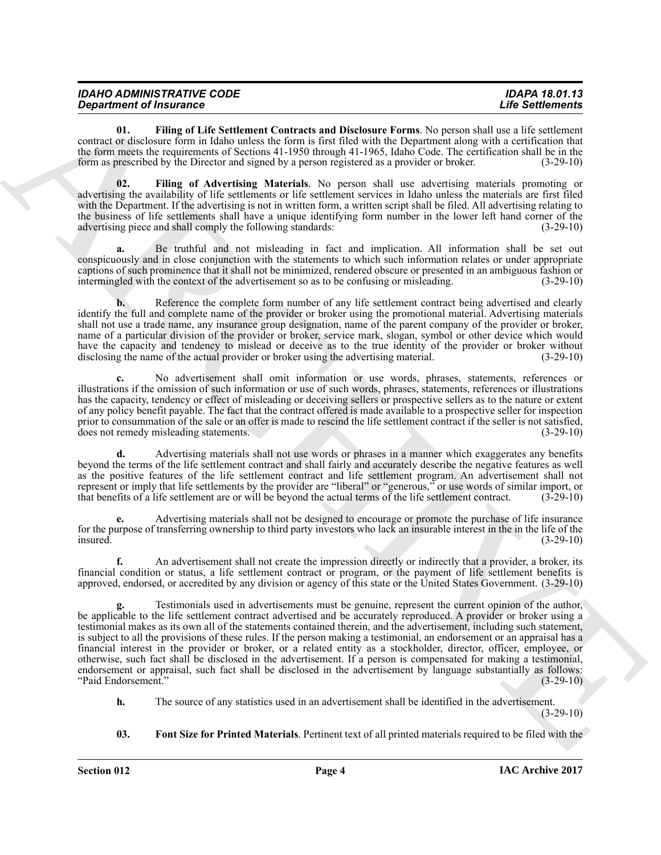| <b>IDAHO ADMINISTRATIVE CODE</b> | <b>IDAPA 18.01.13</b>   |
|----------------------------------|-------------------------|
| <b>Department of Insurance</b>   | <b>Life Settlements</b> |

<span id="page-3-1"></span>**01. Filing of Life Settlement Contracts and Disclosure Forms**. No person shall use a life settlement contract or disclosure form in Idaho unless the form is first filed with the Department along with a certification that the form meets the requirements of Sections 41-1950 through 41-1965, Idaho Code. The certification shall be in the form as prescribed by the Director and signed by a person registered as a provider or broker. (3-29-10)

<span id="page-3-0"></span>**02. Filing of Advertising Materials**. No person shall use advertising materials promoting or advertising the availability of life settlements or life settlement services in Idaho unless the materials are first filed with the Department. If the advertising is not in written form, a written script shall be filed. All advertising relating to the business of life settlements shall have a unique identifying form number in the lower left hand corner of the advertising piece and shall comply the following standards: (3-29-10)

**a.** Be truthful and not misleading in fact and implication. All information shall be set out conspicuously and in close conjunction with the statements to which such information relates or under appropriate captions of such prominence that it shall not be minimized, rendered obscure or presented in an ambiguous fashion or intermingled with the context of the advertisement so as to be confusing or misleading. (3-29-10)

**b.** Reference the complete form number of any life settlement contract being advertised and clearly identify the full and complete name of the provider or broker using the promotional material. Advertising materials shall not use a trade name, any insurance group designation, name of the parent company of the provider or broker, name of a particular division of the provider or broker, service mark, slogan, symbol or other device which would have the capacity and tendency to mislead or deceive as to the true identity of the provider or broker without disclosing the name of the actual provider or broker using the advertising material. (3-29-10) disclosing the name of the actual provider or broker using the advertising material.

**c.** No advertisement shall omit information or use words, phrases, statements, references or illustrations if the omission of such information or use of such words, phrases, statements, references or illustrations has the capacity, tendency or effect of misleading or deceiving sellers or prospective sellers as to the nature or extent of any policy benefit payable. The fact that the contract offered is made available to a prospective seller for inspection prior to consummation of the sale or an offer is made to rescind the life settlement contract if the seller is not satisfied, does not remedy misleading statements. (3-29-10) does not remedy misleading statements.

**d.** Advertising materials shall not use words or phrases in a manner which exaggerates any benefits beyond the terms of the life settlement contract and shall fairly and accurately describe the negative features as well as the positive features of the life settlement contract and life settlement program. An advertisement shall not represent or imply that life settlements by the provider are "liberal" or "generous," or use words of similar import, or that benefits of a life settlement are or will be beyond the actual terms of the life settlement cont that benefits of a life settlement are or will be beyond the actual terms of the life settlement contract.

**e.** Advertising materials shall not be designed to encourage or promote the purchase of life insurance for the purpose of transferring ownership to third party investors who lack an insurable interest in the in the life of the insured.  $(3-29-10)$ 

**f.** An advertisement shall not create the impression directly or indirectly that a provider, a broker, its financial condition or status, a life settlement contract or program, or the payment of life settlement benefits is approved, endorsed, or accredited by any division or agency of this state or the United States Government. (3-29-10)

*Department of Francesco Constraints and Distribute Learn We account that the Science Constraints and Distribute Learn We account the Science Constraints and the Constraints and the Constraints and the Constraints and th* **g.** Testimonials used in advertisements must be genuine, represent the current opinion of the author, be applicable to the life settlement contract advertised and be accurately reproduced. A provider or broker using a testimonial makes as its own all of the statements contained therein, and the advertisement, including such statement, is subject to all the provisions of these rules. If the person making a testimonial, an endorsement or an appraisal has a financial interest in the provider or broker, or a related entity as a stockholder, director, officer, employee, or otherwise, such fact shall be disclosed in the advertisement. If a person is compensated for making a testimonial, endorsement or appraisal, such fact shall be disclosed in the advertisement by language substantially as follows: "Paid Endorsement." (3-29-10)

- **h.** The source of any statistics used in an advertisement shall be identified in the advertisement. (3-29-10)
- <span id="page-3-2"></span>**03. Font Size for Printed Materials**. Pertinent text of all printed materials required to be filed with the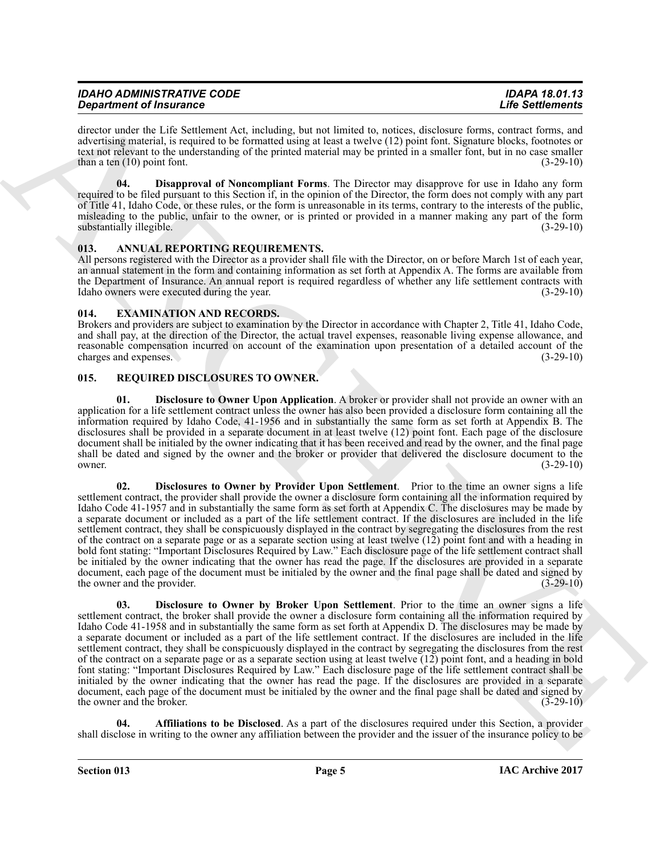| <b>IDAHO ADMINISTRATIVE CODE</b> |  |
|----------------------------------|--|
| <b>Department of Insurance</b>   |  |

director under the Life Settlement Act, including, but not limited to, notices, disclosure forms, contract forms, and advertising material, is required to be formatted using at least a twelve (12) point font. Signature blocks, footnotes or text not relevant to the understanding of the printed material may be printed in a smaller font, but in no case smaller than a ten  $(10)$  point font. (3-29-10)

<span id="page-4-5"></span>**04. Disapproval of Noncompliant Forms**. The Director may disapprove for use in Idaho any form required to be filed pursuant to this Section if, in the opinion of the Director, the form does not comply with any part of Title 41, Idaho Code, or these rules, or the form is unreasonable in its terms, contrary to the interests of the public, misleading to the public, unfair to the owner, or is printed or provided in a manner making any part of the form substantially illegible. (3-29-10) (3-29-10)

# <span id="page-4-3"></span><span id="page-4-0"></span>**013. ANNUAL REPORTING REQUIREMENTS.**

All persons registered with the Director as a provider shall file with the Director, on or before March 1st of each year, an annual statement in the form and containing information as set forth at Appendix A. The forms are available from the Department of Insurance. An annual report is required regardless of whether any life settlement contracts with Idaho owners were executed during the year. (3-29-10)

### <span id="page-4-4"></span><span id="page-4-1"></span>**014. EXAMINATION AND RECORDS.**

Brokers and providers are subject to examination by the Director in accordance with Chapter 2, Title 41, Idaho Code, and shall pay, at the direction of the Director, the actual travel expenses, reasonable living expense allowance, and reasonable compensation incurred on account of the examination upon presentation of a detailed account of the charges and expenses. (3-29-10) charges and expenses.

# <span id="page-4-6"></span><span id="page-4-2"></span>**015. REQUIRED DISCLOSURES TO OWNER.**

<span id="page-4-10"></span><span id="page-4-9"></span>**01. Disclosure to Owner Upon Application**. A broker or provider shall not provide an owner with an application for a life settlement contract unless the owner has also been provided a disclosure form containing all the information required by Idaho Code, 41-1956 and in substantially the same form as set forth at Appendix B. The disclosures shall be provided in a separate document in at least twelve (12) point font. Each page of the disclosure document shall be initialed by the owner indicating that it has been received and read by the owner, and the final page shall be dated and signed by the owner and the broker or provider that delivered the disclosure document to the owner. (3-29-10) owner.  $(3-29-10)$ 

**Statistics of Francesco Constraints on Anti-Apple, and American Statistics (2018). The Statistics of Anti-Apple Statistics in the Statistics of Anti-Apple Statistics in the Statistics of Anti-Apple Statistics in the Stat 02. Disclosures to Owner by Provider Upon Settlement**. Prior to the time an owner signs a life settlement contract, the provider shall provide the owner a disclosure form containing all the information required by Idaho Code 41-1957 and in substantially the same form as set forth at Appendix C. The disclosures may be made by a separate document or included as a part of the life settlement contract. If the disclosures are included in the life settlement contract, they shall be conspicuously displayed in the contract by segregating the disclosures from the rest of the contract on a separate page or as a separate section using at least twelve  $(12)$  point font and with a heading in bold font stating: "Important Disclosures Required by Law." Each disclosure page of the life settlement contract shall be initialed by the owner indicating that the owner has read the page. If the disclosures are provided in a separate document, each page of the document must be initialed by the owner and the final page shall be dated and signed by the owner and the provider. (3-29-10) the owner and the provider.

<span id="page-4-8"></span>**03. Disclosure to Owner by Broker Upon Settlement**. Prior to the time an owner signs a life settlement contract, the broker shall provide the owner a disclosure form containing all the information required by Idaho Code 41-1958 and in substantially the same form as set forth at Appendix D. The disclosures may be made by a separate document or included as a part of the life settlement contract. If the disclosures are included in the life settlement contract, they shall be conspicuously displayed in the contract by segregating the disclosures from the rest of the contract on a separate page or as a separate section using at least twelve (12) point font, and a heading in bold font stating: "Important Disclosures Required by Law." Each disclosure page of the life settlement contract shall be initialed by the owner indicating that the owner has read the page. If the disclosures are provided in a separate document, each page of the document must be initialed by the owner and the final page shall be dated and signed by the owner and the broker. (3-29-10) (3-29-10)

<span id="page-4-7"></span>**04. Affiliations to be Disclosed**. As a part of the disclosures required under this Section, a provider shall disclose in writing to the owner any affiliation between the provider and the issuer of the insurance policy to be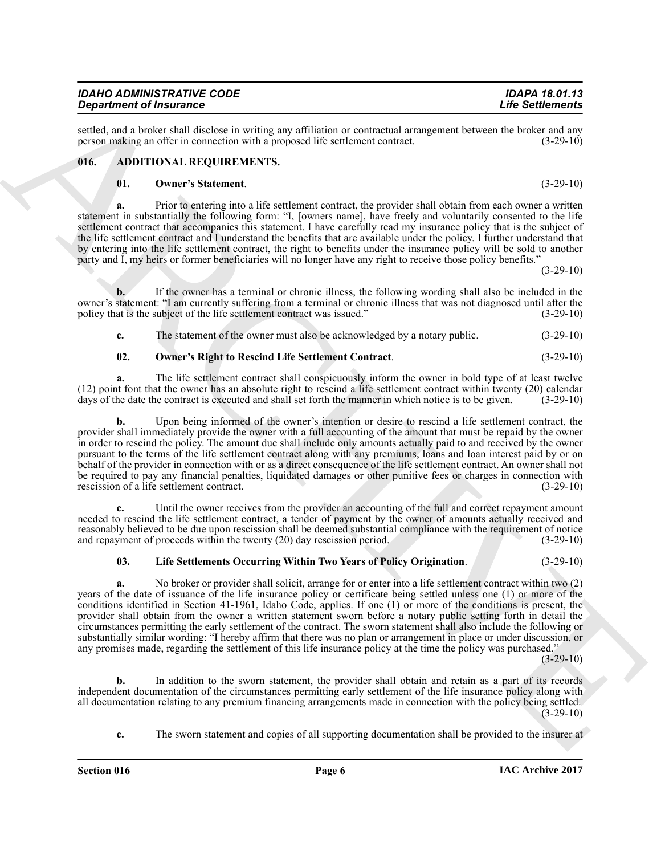*IDAHO ADMINISTRATIVE CODE IDAPA 18.01.13 Department of Insurance* 

settled, and a broker shall disclose in writing any affiliation or contractual arrangement between the broker and any<br>person making an offer in connection with a proposed life settlement contract. (3-29-10) person making an offer in connection with a proposed life settlement contract.

# <span id="page-5-0"></span>**016. ADDITIONAL REQUIREMENTS.**

#### <span id="page-5-4"></span><span id="page-5-1"></span>**01. Owner's Statement**. (3-29-10)

**a.** Prior to entering into a life settlement contract, the provider shall obtain from each owner a written statement in substantially the following form: "I, [owners name], have freely and voluntarily consented to the life settlement contract that accompanies this statement. I have carefully read my insurance policy that is the subject of the life settlement contract and I understand the benefits that are available under the policy. I further understand that by entering into the life settlement contract, the right to benefits under the insurance policy will be sold to another party and I, my heirs or former beneficiaries will no longer have any right to receive those policy benefits."

(3-29-10)

**b.** If the owner has a terminal or chronic illness, the following wording shall also be included in the owner's statement: "I am currently suffering from a terminal or chronic illness that was not diagnosed until after the policy that is the subject of the life settlement contract was issued." (3-29-10) policy that is the subject of the life settlement contract was issued."

<span id="page-5-3"></span>**c.** The statement of the owner must also be acknowledged by a notary public.  $(3-29-10)$ 

# **02. Owner's Right to Rescind Life Settlement Contract**. (3-29-10)

**a.** The life settlement contract shall conspicuously inform the owner in bold type of at least twelve (12) point font that the owner has an absolute right to rescind a life settlement contract within twenty (20) calendar days of the date the contract is executed and shall set forth the manner in which notice is to be give days of the date the contract is executed and shall set forth the manner in which notice is to be given.

Graduation of Finderson in equivalent particles in equivalent in the Solution of The Solution of The Solution of The Solution of The Solution of The Solution of The Solution of The Solution of The Solution of The Solution **b.** Upon being informed of the owner's intention or desire to rescind a life settlement contract, the provider shall immediately provide the owner with a full accounting of the amount that must be repaid by the owner in order to rescind the policy. The amount due shall include only amounts actually paid to and received by the owner pursuant to the terms of the life settlement contract along with any premiums, loans and loan interest paid by or on behalf of the provider in connection with or as a direct consequence of the life settlement contract. An owner shall not be required to pay any financial penalties, liquidated damages or other punitive fees or charges in connection with rescission of a life settlement contract. (3-29-10)

**c.** Until the owner receives from the provider an accounting of the full and correct repayment amount needed to rescind the life settlement contract, a tender of payment by the owner of amounts actually received and reasonably believed to be due upon rescission shall be deemed substantial compliance with the requirement of notice and repayment of proceeds within the twenty (20) day rescission period. (3-29-10)

#### <span id="page-5-2"></span>**03. Life Settlements Occurring Within Two Years of Policy Origination**. (3-29-10)

**a.** No broker or provider shall solicit, arrange for or enter into a life settlement contract within two (2) years of the date of issuance of the life insurance policy or certificate being settled unless one (1) or more of the conditions identified in Section 41-1961, Idaho Code, applies. If one (1) or more of the conditions is present, the provider shall obtain from the owner a written statement sworn before a notary public setting forth in detail the circumstances permitting the early settlement of the contract. The sworn statement shall also include the following or substantially similar wording: "I hereby affirm that there was no plan or arrangement in place or under discussion, or any promises made, regarding the settlement of this life insurance policy at the time the policy was purchased."

 $(3-29-10)$ 

**b.** In addition to the sworn statement, the provider shall obtain and retain as a part of its records independent documentation of the circumstances permitting early settlement of the life insurance policy along with all documentation relating to any premium financing arrangements made in connection with the policy being settled.  $(3-29-10)$ 

**c.** The sworn statement and copies of all supporting documentation shall be provided to the insurer at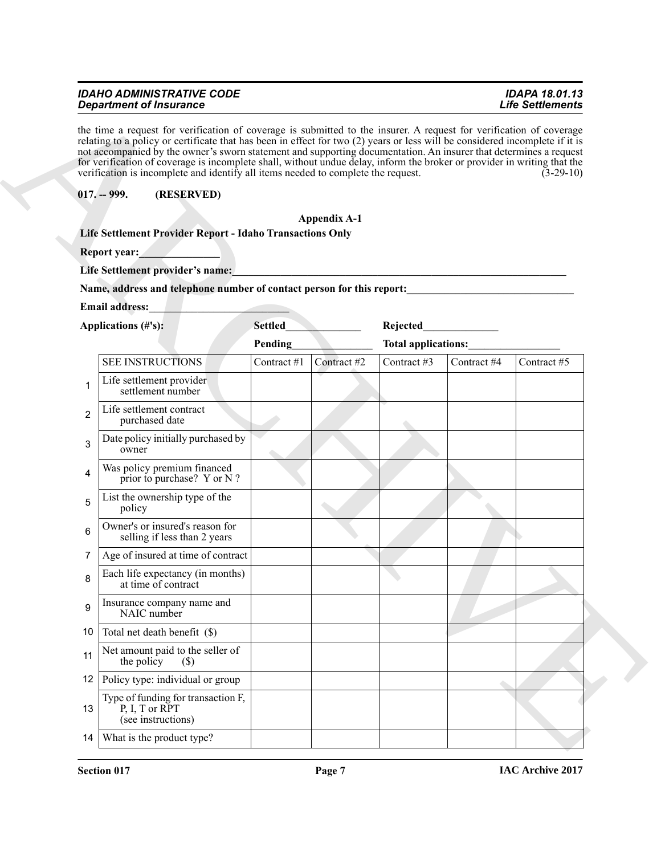# <span id="page-6-0"></span>*IDAHO ADMINISTRATIVE CODE IDAPA 18.01.13 Department of Insurance*

#### **Appendix A-1**

|                   | <b>Department of Insurance</b>                                                                                                                                                                                                                                                                                                                                                                                                                                                                                                                                                            |                |                     |             |                     | <b>Life Settlements</b> |
|-------------------|-------------------------------------------------------------------------------------------------------------------------------------------------------------------------------------------------------------------------------------------------------------------------------------------------------------------------------------------------------------------------------------------------------------------------------------------------------------------------------------------------------------------------------------------------------------------------------------------|----------------|---------------------|-------------|---------------------|-------------------------|
|                   | the time a request for verification of coverage is submitted to the insurer. A request for verification of coverage<br>relating to a policy or certificate that has been in effect for two (2) years or less will be considered incomplete if it is<br>not accompanied by the owner's sworn statement and supporting documentation. An insurer that determines a request<br>for verification of coverage is incomplete shall, without undue delay, inform the broker or provider in writing that the<br>verification is incomplete and identify all items needed to complete the request. |                |                     |             |                     | $(3-29-10)$             |
|                   | (RESERVED)<br>$017. - 999.$                                                                                                                                                                                                                                                                                                                                                                                                                                                                                                                                                               |                |                     |             |                     |                         |
|                   |                                                                                                                                                                                                                                                                                                                                                                                                                                                                                                                                                                                           |                | <b>Appendix A-1</b> |             |                     |                         |
|                   | Life Settlement Provider Report - Idaho Transactions Only                                                                                                                                                                                                                                                                                                                                                                                                                                                                                                                                 |                |                     |             |                     |                         |
|                   | Report year:                                                                                                                                                                                                                                                                                                                                                                                                                                                                                                                                                                              |                |                     |             |                     |                         |
|                   | Life Settlement provider's name:                                                                                                                                                                                                                                                                                                                                                                                                                                                                                                                                                          |                |                     |             |                     |                         |
|                   | Name, address and telephone number of contact person for this report:                                                                                                                                                                                                                                                                                                                                                                                                                                                                                                                     |                |                     |             |                     |                         |
|                   | <b>Email address:</b>                                                                                                                                                                                                                                                                                                                                                                                                                                                                                                                                                                     |                |                     |             |                     |                         |
|                   | Applications (#'s):                                                                                                                                                                                                                                                                                                                                                                                                                                                                                                                                                                       | <b>Settled</b> |                     | Rejected    |                     |                         |
|                   |                                                                                                                                                                                                                                                                                                                                                                                                                                                                                                                                                                                           | Pending        |                     |             | Total applications: |                         |
|                   | <b>SEE INSTRUCTIONS</b>                                                                                                                                                                                                                                                                                                                                                                                                                                                                                                                                                                   | Contract #1    | Contract #2         | Contract #3 | Contract #4         | Contract #5             |
| 1                 | Life settlement provider<br>settlement number                                                                                                                                                                                                                                                                                                                                                                                                                                                                                                                                             |                |                     |             |                     |                         |
| $\overline{c}$    | Life settlement contract<br>purchased date                                                                                                                                                                                                                                                                                                                                                                                                                                                                                                                                                |                |                     |             |                     |                         |
| 3                 | Date policy initially purchased by<br>owner                                                                                                                                                                                                                                                                                                                                                                                                                                                                                                                                               |                |                     |             |                     |                         |
| 4                 | Was policy premium financed<br>prior to purchase? Y or N?                                                                                                                                                                                                                                                                                                                                                                                                                                                                                                                                 |                |                     |             |                     |                         |
| 5                 | List the ownership type of the<br>policy                                                                                                                                                                                                                                                                                                                                                                                                                                                                                                                                                  |                |                     |             |                     |                         |
| 6                 | Owner's or insured's reason for<br>selling if less than 2 years                                                                                                                                                                                                                                                                                                                                                                                                                                                                                                                           |                |                     |             |                     |                         |
| 7                 | Age of insured at time of contract                                                                                                                                                                                                                                                                                                                                                                                                                                                                                                                                                        |                |                     |             |                     |                         |
|                   | Each life expectancy (in months)<br>at time of contract                                                                                                                                                                                                                                                                                                                                                                                                                                                                                                                                   |                |                     |             |                     |                         |
| 9                 | Insurance company name and<br>NAIC number                                                                                                                                                                                                                                                                                                                                                                                                                                                                                                                                                 |                |                     |             |                     |                         |
| 10                | Total net death benefit (\$)                                                                                                                                                                                                                                                                                                                                                                                                                                                                                                                                                              |                |                     |             |                     |                         |
| 11                | Net amount paid to the seller of<br>the policy<br>$(\$)$                                                                                                                                                                                                                                                                                                                                                                                                                                                                                                                                  |                |                     |             |                     |                         |
| $12 \overline{ }$ | Policy type: individual or group                                                                                                                                                                                                                                                                                                                                                                                                                                                                                                                                                          |                |                     |             |                     |                         |
| 13                | Type of funding for transaction F,<br>P, I, T or RPT<br>(see instructions)                                                                                                                                                                                                                                                                                                                                                                                                                                                                                                                |                |                     |             |                     |                         |
| 14                | What is the product type?                                                                                                                                                                                                                                                                                                                                                                                                                                                                                                                                                                 |                |                     |             |                     |                         |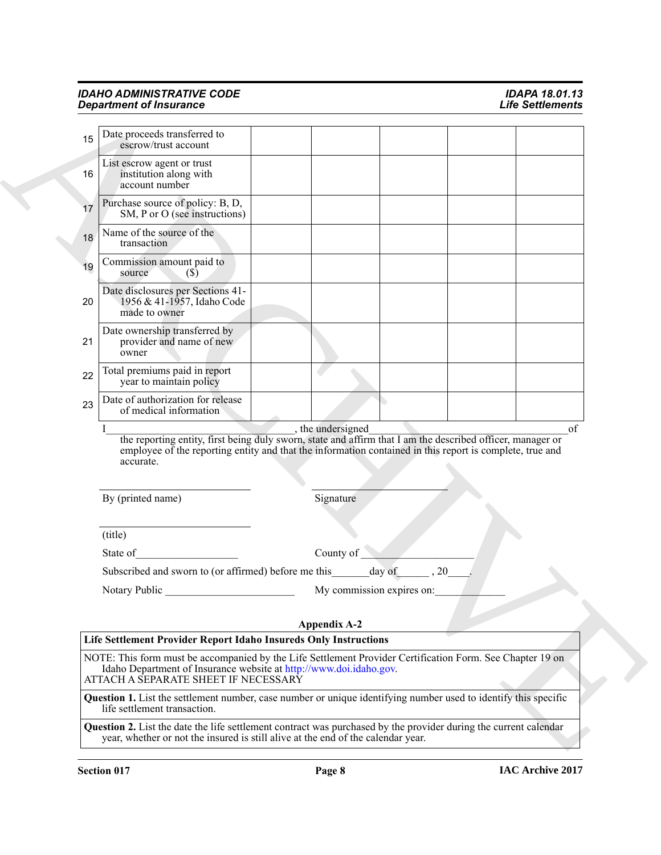|    | <b>Department of Insurance</b>                                                                                                                                                                                                      |                     |                           |    | <b>Life Settlements</b> |
|----|-------------------------------------------------------------------------------------------------------------------------------------------------------------------------------------------------------------------------------------|---------------------|---------------------------|----|-------------------------|
| 15 | Date proceeds transferred to<br>escrow/trust account                                                                                                                                                                                |                     |                           |    |                         |
| 16 | List escrow agent or trust<br>institution along with<br>account number                                                                                                                                                              |                     |                           |    |                         |
| 17 | Purchase source of policy: B, D,<br>SM, P or O (see instructions)                                                                                                                                                                   |                     |                           |    |                         |
| 18 | Name of the source of the<br>transaction                                                                                                                                                                                            |                     |                           |    |                         |
| 19 | Commission amount paid to<br>source<br>$\mathcal{S}(S)$                                                                                                                                                                             |                     |                           |    |                         |
| 20 | Date disclosures per Sections 41-<br>1956 & 41-1957, Idaho Code<br>made to owner                                                                                                                                                    |                     |                           |    |                         |
| 21 | Date ownership transferred by<br>provider and name of new<br>owner                                                                                                                                                                  |                     |                           |    |                         |
| 22 | Total premiums paid in report<br>year to maintain policy                                                                                                                                                                            |                     |                           |    |                         |
| 23 | Date of authorization for release<br>of medical information                                                                                                                                                                         |                     |                           |    |                         |
|    | the reporting entity, first being duly sworn, state and affirm that I am the described officer, manager or<br>employee of the reporting entity and that the information contained in this report is complete, true and<br>accurate. | , the undersigned   |                           |    | οf                      |
|    | By (printed name)                                                                                                                                                                                                                   | Signature           |                           |    |                         |
|    | (title)                                                                                                                                                                                                                             |                     |                           |    |                         |
|    | State of                                                                                                                                                                                                                            | County of           |                           |    |                         |
|    | Subscribed and sworn to (or affirmed) before me this                                                                                                                                                                                |                     | day of                    | 20 |                         |
|    | Notary Public                                                                                                                                                                                                                       |                     | My commission expires on: |    |                         |
|    |                                                                                                                                                                                                                                     | <b>Appendix A-2</b> |                           |    |                         |
|    | Life Settlement Provider Report Idaho Insureds Only Instructions                                                                                                                                                                    |                     |                           |    |                         |
|    | NOTE: This form must be accompanied by the Life Settlement Provider Certification Form. See Chapter 19 on<br>Idaho Department of Insurance website at http://www.doi.idaho.gov.<br>ATTACH A SEPARATE SHEET IF NECESSARY             |                     |                           |    |                         |
|    | <b>Question 1.</b> List the settlement number, case number or unique identifying number used to identify this specific<br>life settlement transaction.                                                                              |                     |                           |    |                         |
|    | Question 2. List the date the life settlement contract was purchased by the provider during the current calendar                                                                                                                    |                     |                           |    |                         |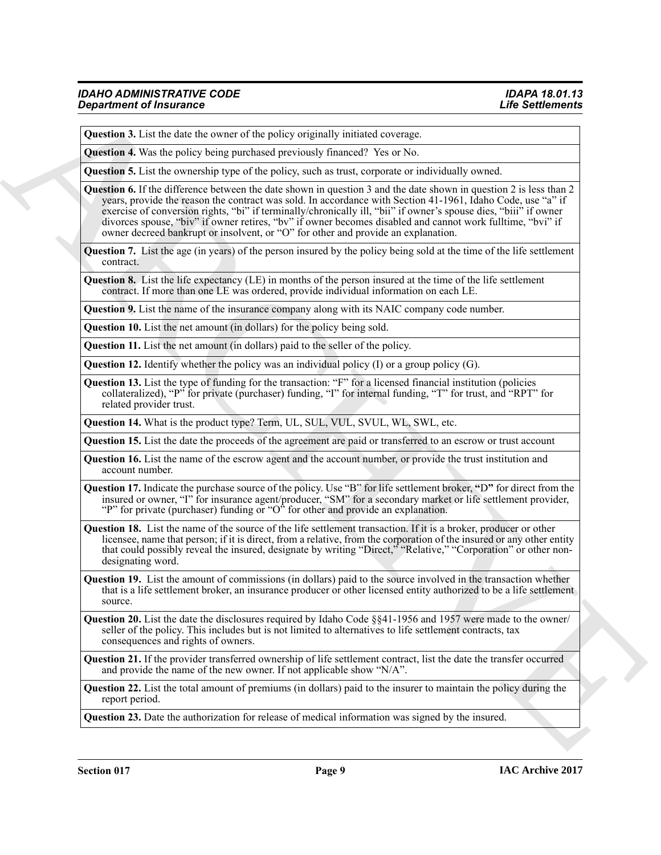**Question 3.** List the date the owner of the policy originally initiated coverage.

**Question 4.** Was the policy being purchased previously financed? Yes or No.

**Question 5.** List the ownership type of the policy, such as trust, corporate or individually owned.

**Operation of Fraumence**<br>
Question 3. Lattice due over on the policy equently mained enverope.<br> **Question 3.** Lattice due over on the state over particles of the control of the control of the state of the state of the con **Question 6.** If the difference between the date shown in question 3 and the date shown in question 2 is less than 2 years, provide the reason the contract was sold. In accordance with Section 41-1961, Idaho Code, use "a" if exercise of conversion rights, "bi" if terminally/chronically ill, "bii" if owner's spouse dies, "biii" if owner divorces spouse, "biv" if owner retires, "bv" if owner becomes disabled and cannot work fulltime, "bvi" if owner decreed bankrupt or insolvent, or "O" for other and provide an explanation.

**Question 7.** List the age (in years) of the person insured by the policy being sold at the time of the life settlement contract.

**Question 8.** List the life expectancy (LE) in months of the person insured at the time of the life settlement contract. If more than one LE was ordered, provide individual information on each LE.

**Question 9.** List the name of the insurance company along with its NAIC company code number.

**Question 10.** List the net amount (in dollars) for the policy being sold.

**Question 11.** List the net amount (in dollars) paid to the seller of the policy.

**Question 12.** Identify whether the policy was an individual policy (I) or a group policy (G).

**Question 13.** List the type of funding for the transaction: "F" for a licensed financial institution (policies collateralized), "P" for private (purchaser) funding, "I" for internal funding, "T" for trust, and "RPT" for related provider trust.

**Question 14.** What is the product type? Term, UL, SUL, VUL, SVUL, WL, SWL, etc.

**Question 15.** List the date the proceeds of the agreement are paid or transferred to an escrow or trust account

**Question 16.** List the name of the escrow agent and the account number, or provide the trust institution and account number.

**Question 17.** Indicate the purchase source of the policy. Use "B" for life settlement broker, **"**D**"** for direct from the insured or owner, "I" for insurance agent/producer, "SM" for a secondary market or life settlement provider, "P" for private (purchaser) funding or " $O^{\prime\prime}$  for other and provide an explanation.

**Question 18.** List the name of the source of the life settlement transaction. If it is a broker, producer or other licensee, name that person; if it is direct, from a relative, from the corporation of the insured or any other entity that could possibly reveal the insured, designate by writing "Direct," "Relative," "Corporation" or other nondesignating word.

**Question 19.** List the amount of commissions (in dollars) paid to the source involved in the transaction whether that is a life settlement broker, an insurance producer or other licensed entity authorized to be a life settlement source.

**Question 20.** List the date the disclosures required by Idaho Code §§41-1956 and 1957 were made to the owner/ seller of the policy. This includes but is not limited to alternatives to life settlement contracts, tax consequences and rights of owners.

**Question 21.** If the provider transferred ownership of life settlement contract, list the date the transfer occurred and provide the name of the new owner. If not applicable show "N/A".

**Question 22.** List the total amount of premiums (in dollars) paid to the insurer to maintain the policy during the report period.

**Question 23.** Date the authorization for release of medical information was signed by the insured.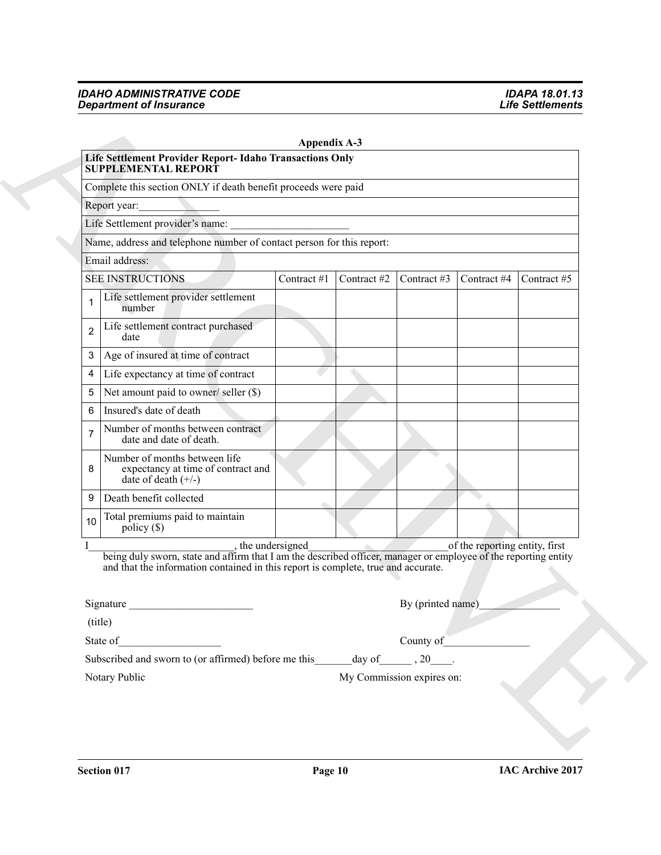|                | Life Settlement Provider Report- Idaho Transactions Only<br><b>SUPPLEMENTAL REPORT</b>                                                                                                                                                                 | <b>Appendix A-3</b> |             |                                      |             |             |  |  |
|----------------|--------------------------------------------------------------------------------------------------------------------------------------------------------------------------------------------------------------------------------------------------------|---------------------|-------------|--------------------------------------|-------------|-------------|--|--|
|                | Complete this section ONLY if death benefit proceeds were paid                                                                                                                                                                                         |                     |             |                                      |             |             |  |  |
| Report year:   |                                                                                                                                                                                                                                                        |                     |             |                                      |             |             |  |  |
|                | Life Settlement provider's name:                                                                                                                                                                                                                       |                     |             |                                      |             |             |  |  |
|                | Name, address and telephone number of contact person for this report:                                                                                                                                                                                  |                     |             |                                      |             |             |  |  |
|                | Email address:                                                                                                                                                                                                                                         |                     |             |                                      |             |             |  |  |
|                | <b>SEE INSTRUCTIONS</b>                                                                                                                                                                                                                                | Contract #1         | Contract #2 | Contract #3                          | Contract #4 | Contract #5 |  |  |
| 1              | Life settlement provider settlement<br>number                                                                                                                                                                                                          |                     |             |                                      |             |             |  |  |
| $\overline{2}$ | Life settlement contract purchased<br>date                                                                                                                                                                                                             |                     |             |                                      |             |             |  |  |
| 3 <sup>1</sup> | Age of insured at time of contract                                                                                                                                                                                                                     |                     |             |                                      |             |             |  |  |
| $\overline{4}$ | Life expectancy at time of contract                                                                                                                                                                                                                    |                     |             |                                      |             |             |  |  |
| 5              | Net amount paid to owner/ seller (\$)                                                                                                                                                                                                                  |                     |             |                                      |             |             |  |  |
| 6              | Insured's date of death                                                                                                                                                                                                                                |                     |             |                                      |             |             |  |  |
| $\overline{7}$ | Number of months between contract<br>date and date of death.                                                                                                                                                                                           |                     |             |                                      |             |             |  |  |
| 8              | Number of months between life<br>expectancy at time of contract and<br>date of death $(+/-)$                                                                                                                                                           |                     |             |                                      |             |             |  |  |
| 9              | Death benefit collected                                                                                                                                                                                                                                |                     |             |                                      |             |             |  |  |
| 10             | Total premiums paid to maintain<br>policy $(\$)$                                                                                                                                                                                                       |                     |             |                                      |             |             |  |  |
|                | the undersigned of the reporting entity, first<br>being duly sworn, state and affirm that I am the described officer, manager or employee of the reporting entity<br>and that the information contained in this report is complete, true and accurate. |                     |             |                                      |             |             |  |  |
|                | Signature                                                                                                                                                                                                                                              |                     |             | By (printed name)                    |             |             |  |  |
|                | (title)                                                                                                                                                                                                                                                |                     |             |                                      |             |             |  |  |
|                | State of                                                                                                                                                                                                                                               |                     |             | County of                            |             |             |  |  |
|                | Subscribed and sworn to (or affirmed) before me this                                                                                                                                                                                                   |                     |             | day of $\qquad \qquad , 20 \qquad .$ |             |             |  |  |
|                | Notary Public                                                                                                                                                                                                                                          |                     |             | My Commission expires on:            |             |             |  |  |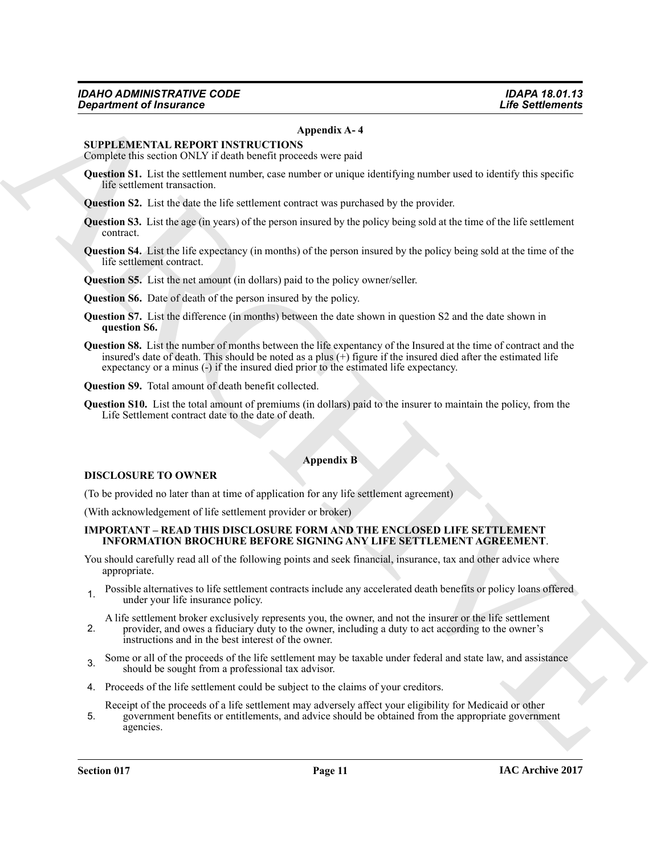#### **Appendix A- 4**

#### **SUPPLEMENTAL REPORT INSTRUCTIONS**

Complete this section ONLY if death benefit proceeds were paid

- **Question S1.** List the settlement number, case number or unique identifying number used to identify this specific life settlement transaction.
- **Question S2.** List the date the life settlement contract was purchased by the provider.
- **Question S3.** List the age (in years) of the person insured by the policy being sold at the time of the life settlement contract.
- **Question S4.** List the life expectancy (in months) of the person insured by the policy being sold at the time of the life settlement contract.
- **Question S5.** List the net amount (in dollars) paid to the policy owner/seller.
- **Question S6.** Date of death of the person insured by the policy.
- **Question S7.** List the difference (in months) between the date shown in question S2 and the date shown in **question S6.**
- *Gives transfer of Insurance* **CAP CONTINGUM CONFIDENTIAL**<br>
SUPPLEMENTAL REPORT ARTISTIC CONFIDENCIAL ARTISTIC CONFIDENCIAL CONFIDENCIAL SUPPLEMENTAL CONFIDENCIAL SUPPLEMENTAL REPORT OF THE VALUE OF THE VALUE OF THE VAL **Question S8.** List the number of months between the life expentancy of the Insured at the time of contract and the insured's date of death. This should be noted as a plus  $(+)$  figure if the insured died after the estimated life expectancy or a minus (-) if the insured died prior to the estimated life expectancy.

**Question S9.** Total amount of death benefit collected.

**Question S10.** List the total amount of premiums (in dollars) paid to the insurer to maintain the policy, from the Life Settlement contract date to the date of death.

# **Appendix B**

#### **DISCLOSURE TO OWNER**

(To be provided no later than at time of application for any life settlement agreement)

(With acknowledgement of life settlement provider or broker)

#### **IMPORTANT – READ THIS DISCLOSURE FORM AND THE ENCLOSED LIFE SETTLEMENT INFORMATION BROCHURE BEFORE SIGNING ANY LIFE SETTLEMENT AGREEMENT**.

You should carefully read all of the following points and seek financial, insurance, tax and other advice where appropriate.

1. Possible alternatives to life settlement contracts include any accelerated death benefits or policy loans offered under your life insurance policy.

A life settlement broker exclusively represents you, the owner, and not the insurer or the life settlement

- 2. provider, and owes a fiduciary duty to the owner, including a duty to act according to the owner's instructions and in the best interest of the owner.
- <sup>3</sup>. Some or all of the proceeds of the life settlement may be taxable under federal and state law, and assistance should be sought from a professional tax advisor.
- 4. Proceeds of the life settlement could be subject to the claims of your creditors.

5. Receipt of the proceeds of a life settlement may adversely affect your eligibility for Medicaid or other government benefits or entitlements, and advice should be obtained from the appropriate government agencies.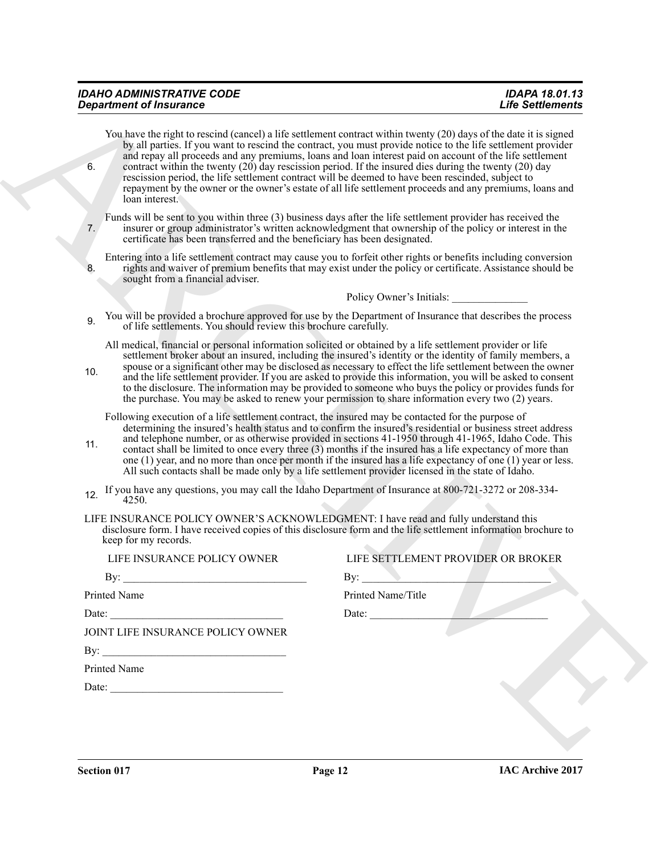|     | <b>Department of Insurance</b>                                                                     | <b>Life Settlements</b>                                                                                                                                                                                                                                                                                                                                                                                                                                                                                                                                                                                                                                                     |
|-----|----------------------------------------------------------------------------------------------------|-----------------------------------------------------------------------------------------------------------------------------------------------------------------------------------------------------------------------------------------------------------------------------------------------------------------------------------------------------------------------------------------------------------------------------------------------------------------------------------------------------------------------------------------------------------------------------------------------------------------------------------------------------------------------------|
| 6.  | loan interest.                                                                                     | You have the right to rescind (cancel) a life settlement contract within twenty (20) days of the date it is signed<br>by all parties. If you want to rescind the contract, you must provide notice to the life settlement provider<br>and repay all proceeds and any premiums, loans and loan interest paid on account of the life settlement<br>contract within the twenty $(20)$ day rescission period. If the insured dies during the twenty $(20)$ day<br>rescission period, the life settlement contract will be deemed to have been rescinded, subject to<br>repayment by the owner or the owner's estate of all life settlement proceeds and any premiums, loans and |
| 7.  | certificate has been transferred and the beneficiary has been designated.                          | Funds will be sent to you within three (3) business days after the life settlement provider has received the<br>insurer or group administrator's written acknowledgment that ownership of the policy or interest in the                                                                                                                                                                                                                                                                                                                                                                                                                                                     |
| 8.  | sought from a financial adviser.                                                                   | Entering into a life settlement contract may cause you to forfeit other rights or benefits including conversion<br>rights and waiver of premium benefits that may exist under the policy or certificate. Assistance should be                                                                                                                                                                                                                                                                                                                                                                                                                                               |
|     |                                                                                                    | Policy Owner's Initials:                                                                                                                                                                                                                                                                                                                                                                                                                                                                                                                                                                                                                                                    |
| 9.  | of life settlements. You should review this brochure carefully.                                    | You will be provided a brochure approved for use by the Department of Insurance that describes the process                                                                                                                                                                                                                                                                                                                                                                                                                                                                                                                                                                  |
| 10. |                                                                                                    | All medical, financial or personal information solicited or obtained by a life settlement provider or life<br>settlement broker about an insured, including the insured's identity or the identity of family members, a<br>spouse or a significant other may be disclosed as necessary to effect the life settlement between the owner<br>and the life settlement provider. If you are asked to provide this information, you will be asked to consent<br>to the disclosure. The information may be provided to someone who buys the policy or provides funds for<br>the purchase. You may be asked to renew your permission to share information every two (2) years.      |
| 11. | Following execution of a life settlement contract, the insured may be contacted for the purpose of | determining the insured's health status and to confirm the insured's residential or business street address<br>and telephone number, or as otherwise provided in sections 41-1950 through 41-1965, Idaho Code. This<br>contact shall be limited to once every three (3) months if the insured has a life expectancy of more than<br>one $(1)$ year, and no more than once per month if the insured has a life expectancy of one $(1)$ year or less.<br>All such contacts shall be made only by a life settlement provider licensed in the state of Idaho.                                                                                                                   |
| 12. | 4250.                                                                                              | If you have any questions, you may call the Idaho Department of Insurance at 800-721-3272 or 208-334-                                                                                                                                                                                                                                                                                                                                                                                                                                                                                                                                                                       |
|     | keep for my records.                                                                               | LIFE INSURANCE POLICY OWNER'S ACKNOWLEDGMENT: I have read and fully understand this<br>disclosure form. I have received copies of this disclosure form and the life settlement information brochure to                                                                                                                                                                                                                                                                                                                                                                                                                                                                      |
|     | LIFE INSURANCE POLICY OWNER                                                                        | LIFE SETTLEMENT PROVIDER OR BROKER                                                                                                                                                                                                                                                                                                                                                                                                                                                                                                                                                                                                                                          |
|     | By:                                                                                                | By:                                                                                                                                                                                                                                                                                                                                                                                                                                                                                                                                                                                                                                                                         |
|     |                                                                                                    |                                                                                                                                                                                                                                                                                                                                                                                                                                                                                                                                                                                                                                                                             |
|     | Printed Name                                                                                       | Printed Name/Title                                                                                                                                                                                                                                                                                                                                                                                                                                                                                                                                                                                                                                                          |
|     |                                                                                                    |                                                                                                                                                                                                                                                                                                                                                                                                                                                                                                                                                                                                                                                                             |
|     | JOINT LIFE INSURANCE POLICY OWNER                                                                  | Date: $\qquad \qquad$                                                                                                                                                                                                                                                                                                                                                                                                                                                                                                                                                                                                                                                       |
|     |                                                                                                    |                                                                                                                                                                                                                                                                                                                                                                                                                                                                                                                                                                                                                                                                             |
|     | By: $\qquad \qquad$<br>Printed Name                                                                |                                                                                                                                                                                                                                                                                                                                                                                                                                                                                                                                                                                                                                                                             |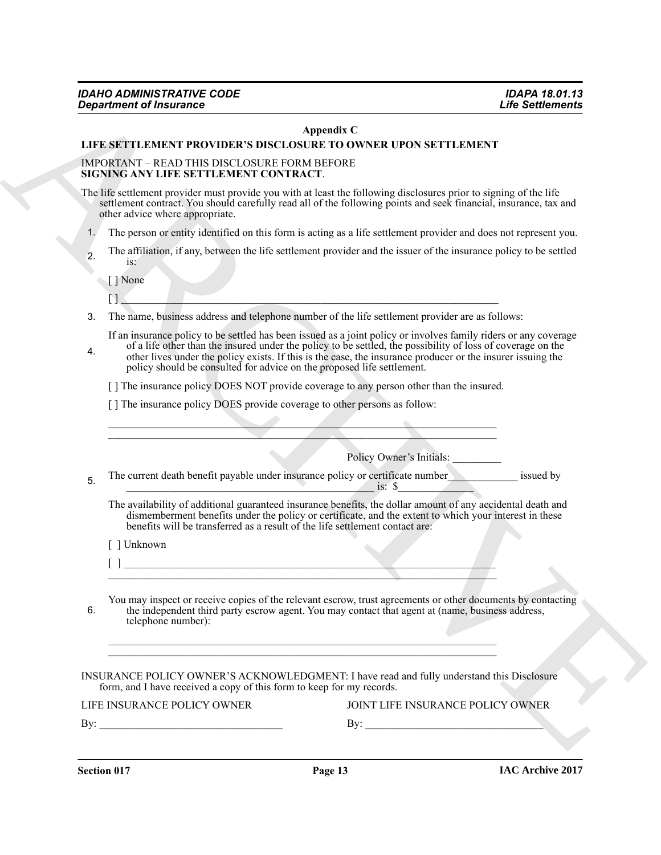#### **Appendix C**

#### **LIFE SETTLEMENT PROVIDER'S DISCLOSURE TO OWNER UPON SETTLEMENT**

#### IMPORTANT – READ THIS DISCLOSURE FORM BEFORE **SIGNING ANY LIFE SETTLEMENT CONTRACT**.

- 1. The person or entity identified on this form is acting as a life settlement provider and does not represent you.
- 2. The affiliation, if any, between the life settlement provider and the issuer of the insurance policy to be settled is:

| VOIIC<br>. . |  |  |  |  |
|--------------|--|--|--|--|
| n a          |  |  |  |  |

- 4. of a life other than the insured under the policy to be settled, the possibility of loss of coverage on the other lives under the policy exists. If this is the case, the insurance producer or the insurer issuing the policy should be consulted for advice on the proposed life settlement.
	- [ ] The insurance policy DOES NOT provide coverage to any person other than the insured.

|    |                                                                                                                       | Appendix C                                                                                                                                                                                                                                                                                                                                     |
|----|-----------------------------------------------------------------------------------------------------------------------|------------------------------------------------------------------------------------------------------------------------------------------------------------------------------------------------------------------------------------------------------------------------------------------------------------------------------------------------|
|    |                                                                                                                       | LIFE SETTLEMENT PROVIDER'S DISCLOSURE TO OWNER UPON SETTLEMENT                                                                                                                                                                                                                                                                                 |
|    | IMPORTANT - READ THIS DISCLOSURE FORM BEFORE<br>SIGNING ANY LIFE SETTLEMENT CONTRACT.                                 |                                                                                                                                                                                                                                                                                                                                                |
|    | other advice where appropriate.                                                                                       | The life settlement provider must provide you with at least the following disclosures prior to signing of the life<br>settlement contract. You should carefully read all of the following points and seek financial, insurance, tax and                                                                                                        |
| 1. |                                                                                                                       | The person or entity identified on this form is acting as a life settlement provider and does not represent you.                                                                                                                                                                                                                               |
| 2. | $iS$ :                                                                                                                | The affiliation, if any, between the life settlement provider and the issuer of the insurance policy to be settled                                                                                                                                                                                                                             |
|    | [] None                                                                                                               |                                                                                                                                                                                                                                                                                                                                                |
| 3. |                                                                                                                       | The name, business address and telephone number of the life settlement provider are as follows:                                                                                                                                                                                                                                                |
| 4. | policy should be consulted for advice on the proposed life settlement.                                                | If an insurance policy to be settled has been issued as a joint policy or involves family riders or any coverage<br>of a life other than the insured under the policy to be settled, the possibility of loss of coverage on the<br>other lives under the policy exists. If this is the case, the insurance producer or the insurer issuing the |
|    |                                                                                                                       | [] The insurance policy DOES NOT provide coverage to any person other than the insured.                                                                                                                                                                                                                                                        |
|    | [] The insurance policy DOES provide coverage to other persons as follow:                                             |                                                                                                                                                                                                                                                                                                                                                |
|    |                                                                                                                       |                                                                                                                                                                                                                                                                                                                                                |
|    |                                                                                                                       | Policy Owner's Initials:                                                                                                                                                                                                                                                                                                                       |
| 5. |                                                                                                                       | The current death benefit payable under insurance policy or certificate number<br>issued by<br>is: $\sqrt{\$}$                                                                                                                                                                                                                                 |
|    |                                                                                                                       | The availability of additional guaranteed insurance benefits, the dollar amount of any accidental death and<br>dismemberment benefits under the policy or certificate, and the extent to which your interest in these benefits will be transferred as a result of the life settlement contact are:                                             |
|    | [ ] Unknown                                                                                                           |                                                                                                                                                                                                                                                                                                                                                |
|    | <u> 1989 - Johann Barn, mars ann an t-Amhain Aonaich an t-Aonaich an t-Aonaich an t-Aonaich an t-Aonaich an t-Aon</u> |                                                                                                                                                                                                                                                                                                                                                |
| 6. | telephone number):                                                                                                    | You may inspect or receive copies of the relevant escrow, trust agreements or other documents by contacting<br>the independent third party escrow agent. You may contact that agent at (name, business address,                                                                                                                                |
|    |                                                                                                                       |                                                                                                                                                                                                                                                                                                                                                |
|    | form, and I have received a copy of this form to keep for my records.                                                 | INSURANCE POLICY OWNER'S ACKNOWLEDGMENT: I have read and fully understand this Disclosure                                                                                                                                                                                                                                                      |
|    | LIFE INSURANCE POLICY OWNER                                                                                           | JOINT LIFE INSURANCE POLICY OWNER                                                                                                                                                                                                                                                                                                              |
|    |                                                                                                                       | By: $\qquad \qquad$                                                                                                                                                                                                                                                                                                                            |

**Section 017 Page 13**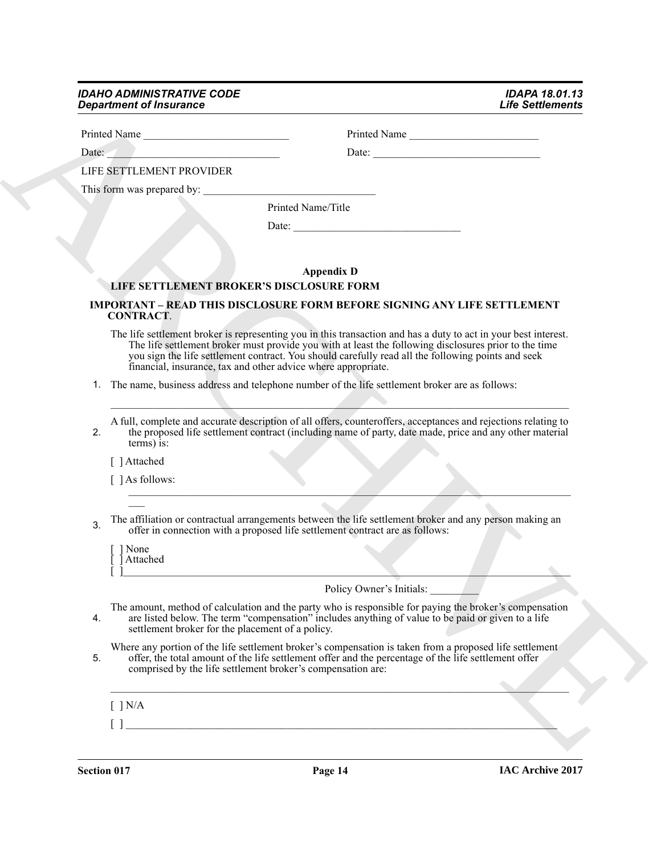### *IDAHO ADMINISTRATIVE CODE IDAPA 18.01.13 Department of Insurance*

| Printed Name                                                      | Printed Name                                                                                                                                                                                                                                                                                                                   |
|-------------------------------------------------------------------|--------------------------------------------------------------------------------------------------------------------------------------------------------------------------------------------------------------------------------------------------------------------------------------------------------------------------------|
| Date:                                                             |                                                                                                                                                                                                                                                                                                                                |
| LIFE SETTLEMENT PROVIDER                                          |                                                                                                                                                                                                                                                                                                                                |
|                                                                   |                                                                                                                                                                                                                                                                                                                                |
|                                                                   | Printed Name/Title                                                                                                                                                                                                                                                                                                             |
|                                                                   |                                                                                                                                                                                                                                                                                                                                |
|                                                                   |                                                                                                                                                                                                                                                                                                                                |
|                                                                   | <b>Appendix D</b>                                                                                                                                                                                                                                                                                                              |
| LIFE SETTLEMENT BROKER'S DISCLOSURE FORM                          |                                                                                                                                                                                                                                                                                                                                |
| <b>CONTRACT.</b>                                                  | <b>IMPORTANT - READ THIS DISCLOSURE FORM BEFORE SIGNING ANY LIFE SETTLEMENT</b>                                                                                                                                                                                                                                                |
| financial, insurance, tax and other advice where appropriate.     | The life settlement broker is representing you in this transaction and has a duty to act in your best interest.<br>The life settlement broker must provide you with at least the following disclosures prior to the time<br>you sign the life settlement contract. You should carefully read all the following points and seek |
|                                                                   | 1. The name, business address and telephone number of the life settlement broker are as follows:                                                                                                                                                                                                                               |
|                                                                   |                                                                                                                                                                                                                                                                                                                                |
| 2.<br>terms) is:                                                  | A full, complete and accurate description of all offers, counteroffers, acceptances and rejections relating to<br>the proposed life settlement contract (including name of party, date made, price and any other material                                                                                                      |
| [ ] Attached                                                      |                                                                                                                                                                                                                                                                                                                                |
| $\lceil \ \rceil$ As follows:                                     |                                                                                                                                                                                                                                                                                                                                |
|                                                                   |                                                                                                                                                                                                                                                                                                                                |
| 3.                                                                | The affiliation or contractual arrangements between the life settlement broker and any person making an<br>offer in connection with a proposed life settlement contract are as follows:                                                                                                                                        |
| [ ] None<br>Attached                                              |                                                                                                                                                                                                                                                                                                                                |
|                                                                   | Policy Owner's Initials:                                                                                                                                                                                                                                                                                                       |
| 4.<br>settlement broker for the placement of a policy.            | The amount, method of calculation and the party who is responsible for paying the broker's compensation<br>are listed below. The term "compensation" includes anything of value to be paid or given to a life                                                                                                                  |
| 5.<br>comprised by the life settlement broker's compensation are: | Where any portion of the life settlement broker's compensation is taken from a proposed life settlement<br>offer, the total amount of the life settlement offer and the percentage of the life settlement offer                                                                                                                |
| $[$ ] N/A                                                         |                                                                                                                                                                                                                                                                                                                                |
|                                                                   |                                                                                                                                                                                                                                                                                                                                |

## **Appendix D LIFE SETTLEMENT BROKER'S DISCLOSURE FORM**

# **IMPORTANT – READ THIS DISCLOSURE FORM BEFORE SIGNING ANY LIFE SETTLEMENT CONTRACT**.

- The life settlement broker is representing you in this transaction and has a duty to act in your best interest. The life settlement broker must provide you with at least the following disclosures prior to the time you sign the life settlement contract. You should carefully read all the following points and seek financial, insurance, tax and other advice where appropriate.
- 1. The name, business address and telephone number of the life settlement broker are as follows:

- $\blacksquare$  ] As follows:
- 3. The affiliation or contractual arrangements between the life settlement broker and any person making an offer in connection with a proposed life settlement contract are as follows: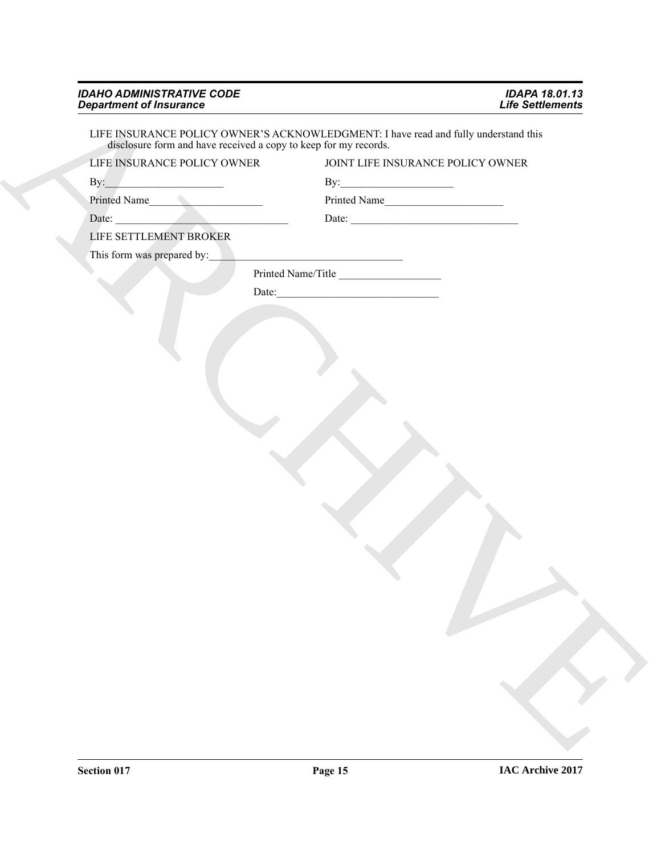| LIFE INSURANCE POLICY OWNER'S ACKNOWLEDGMENT: I have read and fully understand this disclosure form and have received a copy to keep for my records.<br>LIFE INSURANCE POLICY OWNER<br>JOINT LIFE INSURANCE POLICY OWNER<br>$\mbox{By:}\; \begin{tabular}{ c c c } \hline \multicolumn{3}{ c }{ \multicolumn{3}{c }{ \multicolumn{3}{c }{ \multicolumn{3}{c }{ \multicolumn{3}{c}}{ \multicolumn{3}{c} \multicolumn{3}{c}}{ \multicolumn{3}{c} \multicolumn{3}{c} \multicolumn{3}{c} \multicolumn{3}{c} \multicolumn{3}{c} \multicolumn{3}{c} \multicolumn{3}{c} \multicolumn{3}{c} \multicolumn{3}{c} \multicolumn{3}{c} \multicolumn{3}{c} \multicolumn{3}{c} \multicolumn{3}{c} \multicolumn{3}{c$<br>By: $\qquad \qquad$ $\qquad \qquad$ $\qquad \qquad$ $\qquad \qquad$ $\qquad \qquad$ $\qquad \qquad$ $\qquad \qquad$ $\qquad \qquad$ $\qquad \qquad$ $\qquad \qquad$ $\qquad \qquad$ $\qquad \qquad$ $\qquad \qquad$ $\qquad \qquad$ $\qquad$ $\qquad$ $\qquad$ $\qquad$ $\qquad$ $\qquad$ $\qquad$ $\qquad$ $\qquad$ $\qquad$ $\qquad$ $\qquad$ $\qquad$ $\qquad$ $\qquad$<br>Printed Name<br>Printed Name<br>Date: $\qquad \qquad$<br>LIFE SETTLEMENT BROKER<br>This form was prepared by:<br>Printed Name/Title |  |
|----------------------------------------------------------------------------------------------------------------------------------------------------------------------------------------------------------------------------------------------------------------------------------------------------------------------------------------------------------------------------------------------------------------------------------------------------------------------------------------------------------------------------------------------------------------------------------------------------------------------------------------------------------------------------------------------------------------------------------------------------------------------------------------------------------------------------------------------------------------------------------------------------------------------------------------------------------------------------------------------------------------------------------------------------------------------------------------------------------------------------------------------------------------------------------------------------------------------------|--|
|                                                                                                                                                                                                                                                                                                                                                                                                                                                                                                                                                                                                                                                                                                                                                                                                                                                                                                                                                                                                                                                                                                                                                                                                                            |  |
|                                                                                                                                                                                                                                                                                                                                                                                                                                                                                                                                                                                                                                                                                                                                                                                                                                                                                                                                                                                                                                                                                                                                                                                                                            |  |
|                                                                                                                                                                                                                                                                                                                                                                                                                                                                                                                                                                                                                                                                                                                                                                                                                                                                                                                                                                                                                                                                                                                                                                                                                            |  |
|                                                                                                                                                                                                                                                                                                                                                                                                                                                                                                                                                                                                                                                                                                                                                                                                                                                                                                                                                                                                                                                                                                                                                                                                                            |  |
|                                                                                                                                                                                                                                                                                                                                                                                                                                                                                                                                                                                                                                                                                                                                                                                                                                                                                                                                                                                                                                                                                                                                                                                                                            |  |
|                                                                                                                                                                                                                                                                                                                                                                                                                                                                                                                                                                                                                                                                                                                                                                                                                                                                                                                                                                                                                                                                                                                                                                                                                            |  |
|                                                                                                                                                                                                                                                                                                                                                                                                                                                                                                                                                                                                                                                                                                                                                                                                                                                                                                                                                                                                                                                                                                                                                                                                                            |  |
|                                                                                                                                                                                                                                                                                                                                                                                                                                                                                                                                                                                                                                                                                                                                                                                                                                                                                                                                                                                                                                                                                                                                                                                                                            |  |
|                                                                                                                                                                                                                                                                                                                                                                                                                                                                                                                                                                                                                                                                                                                                                                                                                                                                                                                                                                                                                                                                                                                                                                                                                            |  |
|                                                                                                                                                                                                                                                                                                                                                                                                                                                                                                                                                                                                                                                                                                                                                                                                                                                                                                                                                                                                                                                                                                                                                                                                                            |  |
|                                                                                                                                                                                                                                                                                                                                                                                                                                                                                                                                                                                                                                                                                                                                                                                                                                                                                                                                                                                                                                                                                                                                                                                                                            |  |
|                                                                                                                                                                                                                                                                                                                                                                                                                                                                                                                                                                                                                                                                                                                                                                                                                                                                                                                                                                                                                                                                                                                                                                                                                            |  |
|                                                                                                                                                                                                                                                                                                                                                                                                                                                                                                                                                                                                                                                                                                                                                                                                                                                                                                                                                                                                                                                                                                                                                                                                                            |  |
|                                                                                                                                                                                                                                                                                                                                                                                                                                                                                                                                                                                                                                                                                                                                                                                                                                                                                                                                                                                                                                                                                                                                                                                                                            |  |
|                                                                                                                                                                                                                                                                                                                                                                                                                                                                                                                                                                                                                                                                                                                                                                                                                                                                                                                                                                                                                                                                                                                                                                                                                            |  |
|                                                                                                                                                                                                                                                                                                                                                                                                                                                                                                                                                                                                                                                                                                                                                                                                                                                                                                                                                                                                                                                                                                                                                                                                                            |  |
|                                                                                                                                                                                                                                                                                                                                                                                                                                                                                                                                                                                                                                                                                                                                                                                                                                                                                                                                                                                                                                                                                                                                                                                                                            |  |
|                                                                                                                                                                                                                                                                                                                                                                                                                                                                                                                                                                                                                                                                                                                                                                                                                                                                                                                                                                                                                                                                                                                                                                                                                            |  |
|                                                                                                                                                                                                                                                                                                                                                                                                                                                                                                                                                                                                                                                                                                                                                                                                                                                                                                                                                                                                                                                                                                                                                                                                                            |  |
|                                                                                                                                                                                                                                                                                                                                                                                                                                                                                                                                                                                                                                                                                                                                                                                                                                                                                                                                                                                                                                                                                                                                                                                                                            |  |
|                                                                                                                                                                                                                                                                                                                                                                                                                                                                                                                                                                                                                                                                                                                                                                                                                                                                                                                                                                                                                                                                                                                                                                                                                            |  |
|                                                                                                                                                                                                                                                                                                                                                                                                                                                                                                                                                                                                                                                                                                                                                                                                                                                                                                                                                                                                                                                                                                                                                                                                                            |  |
|                                                                                                                                                                                                                                                                                                                                                                                                                                                                                                                                                                                                                                                                                                                                                                                                                                                                                                                                                                                                                                                                                                                                                                                                                            |  |
|                                                                                                                                                                                                                                                                                                                                                                                                                                                                                                                                                                                                                                                                                                                                                                                                                                                                                                                                                                                                                                                                                                                                                                                                                            |  |
|                                                                                                                                                                                                                                                                                                                                                                                                                                                                                                                                                                                                                                                                                                                                                                                                                                                                                                                                                                                                                                                                                                                                                                                                                            |  |
|                                                                                                                                                                                                                                                                                                                                                                                                                                                                                                                                                                                                                                                                                                                                                                                                                                                                                                                                                                                                                                                                                                                                                                                                                            |  |
|                                                                                                                                                                                                                                                                                                                                                                                                                                                                                                                                                                                                                                                                                                                                                                                                                                                                                                                                                                                                                                                                                                                                                                                                                            |  |
|                                                                                                                                                                                                                                                                                                                                                                                                                                                                                                                                                                                                                                                                                                                                                                                                                                                                                                                                                                                                                                                                                                                                                                                                                            |  |
|                                                                                                                                                                                                                                                                                                                                                                                                                                                                                                                                                                                                                                                                                                                                                                                                                                                                                                                                                                                                                                                                                                                                                                                                                            |  |
|                                                                                                                                                                                                                                                                                                                                                                                                                                                                                                                                                                                                                                                                                                                                                                                                                                                                                                                                                                                                                                                                                                                                                                                                                            |  |
|                                                                                                                                                                                                                                                                                                                                                                                                                                                                                                                                                                                                                                                                                                                                                                                                                                                                                                                                                                                                                                                                                                                                                                                                                            |  |
|                                                                                                                                                                                                                                                                                                                                                                                                                                                                                                                                                                                                                                                                                                                                                                                                                                                                                                                                                                                                                                                                                                                                                                                                                            |  |
|                                                                                                                                                                                                                                                                                                                                                                                                                                                                                                                                                                                                                                                                                                                                                                                                                                                                                                                                                                                                                                                                                                                                                                                                                            |  |
|                                                                                                                                                                                                                                                                                                                                                                                                                                                                                                                                                                                                                                                                                                                                                                                                                                                                                                                                                                                                                                                                                                                                                                                                                            |  |
|                                                                                                                                                                                                                                                                                                                                                                                                                                                                                                                                                                                                                                                                                                                                                                                                                                                                                                                                                                                                                                                                                                                                                                                                                            |  |
|                                                                                                                                                                                                                                                                                                                                                                                                                                                                                                                                                                                                                                                                                                                                                                                                                                                                                                                                                                                                                                                                                                                                                                                                                            |  |